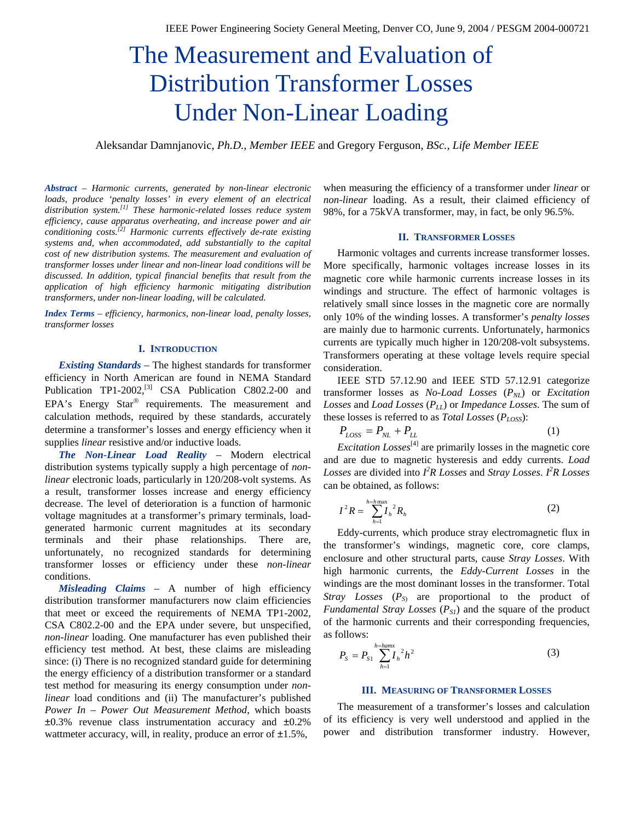# The Measurement and Evaluation of Distribution Transformer Losses Under Non-Linear Loading

Aleksandar Damnjanovic, *Ph.D., Member IEEE* and Gregory Ferguson, *BSc., Life Member IEEE*

*Abstract – Harmonic currents, generated by non-linear electronic loads, produce 'penalty losses' in every element of an electrical distribution system.[1] These harmonic-related losses reduce system efficiency, cause apparatus overheating, and increase power and air conditioning costs.[2] Harmonic currents effectively de-rate existing systems and, when accommodated, add substantially to the capital cost of new distribution systems. The measurement and evaluation of transformer losses under linear and non-linear load conditions will be discussed. In addition, typical financial benefits that result from the application of high efficiency harmonic mitigating distribution transformers, under non-linear loading, will be calculated.* 

*Index Terms – efficiency, harmonics, non-linear load, penalty losses, transformer losses* 

## **I. INTRODUCTION**

*Existing Standards* – The highest standards for transformer efficiency in North American are found in NEMA Standard Publication TP1-2002,<sup>[3]</sup> CSA Publication C802.2-00 and EPA's Energy Star $^{\circledR}$  requirements. The measurement and calculation methods, required by these standards, accurately determine a transformer's losses and energy efficiency when it supplies *linear* resistive and/or inductive loads.

*The Non-Linear Load Reality* – Modern electrical distribution systems typically supply a high percentage of *nonlinear* electronic loads, particularly in 120/208-volt systems. As a result, transformer losses increase and energy efficiency decrease. The level of deterioration is a function of harmonic voltage magnitudes at a transformer's primary terminals, loadgenerated harmonic current magnitudes at its secondary terminals and their phase relationships. There are, unfortunately, no recognized standards for determining transformer losses or efficiency under these *non-linear* conditions.

*Misleading Claims* – A number of high efficiency distribution transformer manufacturers now claim efficiencies that meet or exceed the requirements of NEMA TP1-2002, CSA C802.2-00 and the EPA under severe, but unspecified, *non-linear* loading. One manufacturer has even published their efficiency test method. At best, these claims are misleading since: (i) There is no recognized standard guide for determining the energy efficiency of a distribution transformer or a standard test method for measuring its energy consumption under *nonlinear* load conditions and (ii) The manufacturer's published *Power In – Power Out Measurement Method*, which boasts  $\pm 0.3\%$  revenue class instrumentation accuracy and  $\pm 0.2\%$ wattmeter accuracy, will, in reality, produce an error of  $\pm 1.5$ %,

when measuring the efficiency of a transformer under *linear* or *non-linear* loading. As a result, their claimed efficiency of 98%, for a 75kVA transformer, may, in fact, be only 96.5%.

## **II. TRANSFORMER LOSSES**

Harmonic voltages and currents increase transformer losses. More specifically, harmonic voltages increase losses in its magnetic core while harmonic currents increase losses in its windings and structure. The effect of harmonic voltages is relatively small since losses in the magnetic core are normally only 10% of the winding losses. A transformer's *penalty losses* are mainly due to harmonic currents. Unfortunately, harmonics currents are typically much higher in 120/208-volt subsystems. Transformers operating at these voltage levels require special consideration.

IEEE STD 57.12.90 and IEEE STD 57.12.91 categorize transformer losses as *No-Load Losses* ( $P_{NL}$ ) or *Excitation Losses* and *Load Losses* (*PLL*) or *Impedance Losses*. The sum of these losses is referred to as *Total Losses* (*PLOSS*):

$$
P_{LOSS} = P_{NL} + P_{LL} \tag{1}
$$

*Excitation Losses*<sup>[4]</sup> are primarily losses in the magnetic core and are due to magnetic hysteresis and eddy currents. *Load Losses* are divided into  $I^2R$  *Losses* and *Stray Losses*.  $I^2R$  *Losses* can be obtained, as follows:

$$
I^2 R = \sum_{h=1}^{h=h \max} I_h^2 R_h
$$
 (2)

Eddy-currents, which produce stray electromagnetic flux in the transformer's windings, magnetic core, core clamps, enclosure and other structural parts, cause *Stray Losses*. With high harmonic currents, the *Eddy-Current Losses* in the windings are the most dominant losses in the transformer. Total *Stray Losses*  $(P_{S}$  are proportional to the product of *Fundamental Stray Losses*  $(P_{SI})$  and the square of the product of the harmonic currents and their corresponding frequencies, as follows:

$$
P_{S} = P_{S1} \sum_{h=1}^{h=hamx} I_{h}^{2} h^{2}
$$
 (3)

## **III. MEASURING OF TRANSFORMER LOSSES**

The measurement of a transformer's losses and calculation of its efficiency is very well understood and applied in the power and distribution transformer industry. However,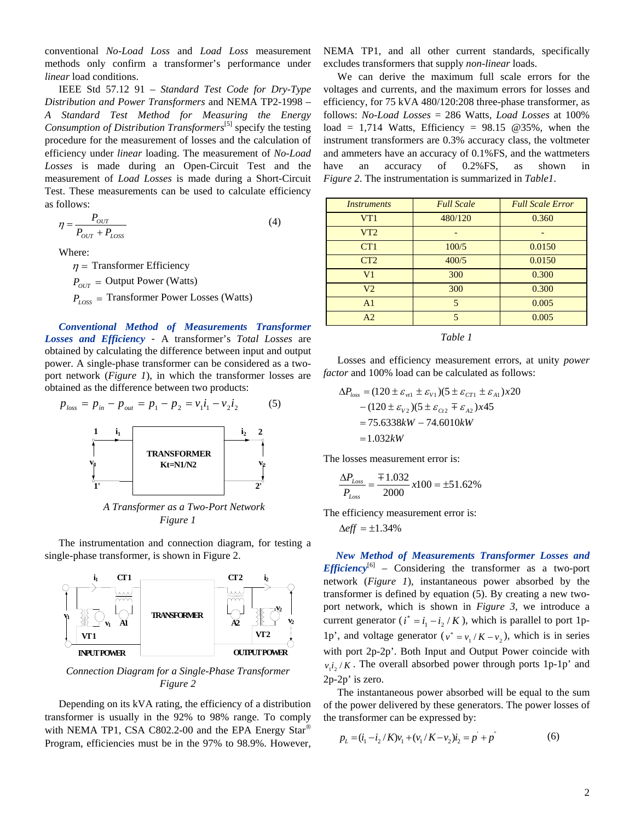conventional *No-Load Loss* and *Load Loss* measurement methods only confirm a transformer's performance under *linear* load conditions.

IEEE Std 57.12 91 – *Standard Test Code for Dry-Type Distribution and Power Transformers* and NEMA TP2-1998 – *A Standard Test Method for Measuring the Energy Consumption of Distribution Transformers*[5] specify the testing procedure for the measurement of losses and the calculation of efficiency under *linear* loading. The measurement of *No-Load Losses* is made during an Open-Circuit Test and the measurement of *Load Losses* is made during a Short-Circuit Test. These measurements can be used to calculate efficiency as follows:

$$
\eta = \frac{P_{OUT}}{P_{OUT} + P_{LOS}}\tag{4}
$$

Where:

 $\eta$  = Transformer Efficiency

 $P_{OUT}$  = Output Power (Watts)

 $P_{loss}$  = Transformer Power Losses (Watts)

*Conventional Method of Measurements Transformer Losses and Efficiency* - A transformer's *Total Losses* are obtained by calculating the difference between input and output power. A single-phase transformer can be considered as a twoport network (*Figure 1*), in which the transformer losses are obtained as the difference between two products:

$$
p_{loss} = p_{in} - p_{out} = p_1 - p_2 = v_1 i_1 - v_2 i_2 \tag{5}
$$



*A Transformer as a Two-Port Network Figure 1* 

The instrumentation and connection diagram, for testing a single-phase transformer, is shown in Figure 2.



*Connection Diagram for a Single-Phase Transformer Figure 2* 

Depending on its kVA rating, the efficiency of a distribution transformer is usually in the 92% to 98% range. To comply with NEMA TP1, CSA C802.2-00 and the EPA Energy Star<sup>®</sup> Program, efficiencies must be in the 97% to 98.9%. However, NEMA TP1, and all other current standards, specifically excludes transformers that supply *non-linear* loads.

We can derive the maximum full scale errors for the voltages and currents, and the maximum errors for losses and efficiency, for 75 kVA 480/120:208 three-phase transformer, as follows: *No-Load Losses* = 286 Watts, *Load Losses* at 100% load = 1,714 Watts, Efficiency =  $98.15$  @35%, when the instrument transformers are 0.3% accuracy class, the voltmeter and ammeters have an accuracy of 0.1%FS, and the wattmeters have an accuracy of 0.2%FS, as shown in *Figure 2*. The instrumentation is summarized in *Table1*.

| <i><u><b>Instruments</b></u></i> | <b>Full Scale</b> | <b>Full Scale Error</b> |
|----------------------------------|-------------------|-------------------------|
| VT1                              | 480/120           | 0.360                   |
| VT2                              |                   |                         |
| CT <sub>1</sub>                  | 100/5             | 0.0150                  |
| CT <sub>2</sub>                  | 400/5             | 0.0150                  |
| V <sub>1</sub>                   | 300               | 0.300                   |
| V <sub>2</sub>                   | 300               | 0.300                   |
| A <sub>1</sub>                   | 5                 | 0.005                   |
| A2                               | 5                 | 0.005                   |

*Table 1* 

Losses and efficiency measurement errors, at unity *power factor* and 100% load can be calculated as follows:

$$
\Delta P_{loss} = (120 \pm \varepsilon_{w1} \pm \varepsilon_{v1})(5 \pm \varepsilon_{CT1} \pm \varepsilon_{A1})x20
$$
  
- (120  $\pm \varepsilon_{v2}$ )(5  $\pm \varepsilon_{C12} \mp \varepsilon_{A2}$ )x45  
= 75.6338kW – 74.6010kW  
= 1.032kW

The losses measurement error is:

$$
\frac{\Delta P_{Loss}}{P_{Loss}} = \frac{\mp 1.032}{2000} \times 100 = \pm 51.62\%
$$

The efficiency measurement error is:

 $\Delta$ *eff* =  $\pm$ 1.34%

*New Method of Measurements Transformer Losses and Efficiency*<sup>[6]</sup> – Considering the transformer as a two-port network (*Figure 1*), instantaneous power absorbed by the transformer is defined by equation (5). By creating a new twoport network, which is shown in *Figure 3*, we introduce a current generator ( $i^* = i_1 - i_2 / K$ ), which is parallel to port 1p-1p', and voltage generator ( $v^* = v_1/K - v_2$ ), which is in series with port 2p-2p'. Both Input and Output Power coincide with  $v_1 i_2 / K$ . The overall absorbed power through ports 1p-1p' and 2p-2p' is zero.

The instantaneous power absorbed will be equal to the sum of the power delivered by these generators. The power losses of the transformer can be expressed by:

$$
p_L = (i_1 - i_2/K)v_1 + (v_1/K - v_2)i_2 = p^2 + p^2 \tag{6}
$$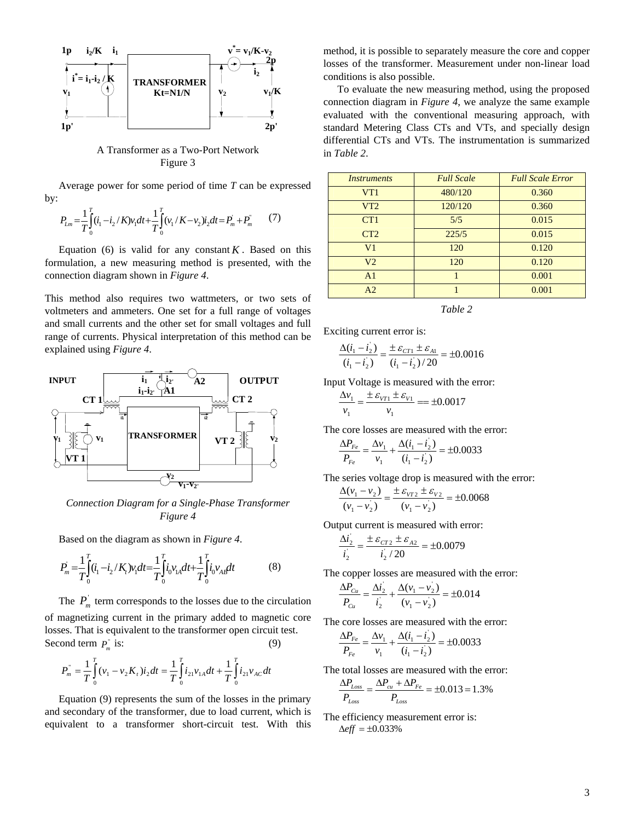

A Transformer as a Two-Port Network Figure 3

Average power for some period of time *T* can be expressed by:

$$
P_{Lm} = \frac{1}{T} \int_{0}^{T} (i_1 - i_2 / K) v_1 dt + \frac{1}{T} \int_{0}^{T} (v_1 / K - v_2) i_2 dt = P_m + P_m \tag{7}
$$

Equation (6) is valid for any constant  $K$ . Based on this formulation, a new measuring method is presented, with the connection diagram shown in *Figure 4*.

This method also requires two wattmeters, or two sets of voltmeters and ammeters. One set for a full range of voltages and small currents and the other set for small voltages and full range of currents. Physical interpretation of this method can be explained using *Figure 4*.



*Connection Diagram for a Single-Phase Transformer Figure 4*

Based on the diagram as shown in *Figure 4*.

$$
P_m = \frac{1}{T} \int_0^T (i_1 - i_2 / K_t) v_1 dt = \frac{1}{T} \int_0^T i_0 v_{1A} dt + \frac{1}{T} \int_0^T i_0 v_{AB} dt
$$
 (8)

The  $P_m$  term corresponds to the losses due to the circulation of magnetizing current in the primary added to magnetic core losses. That is equivalent to the transformer open circuit test. Second term  $P_m^r$  is: (9)

$$
P_m^{\dagger} = \frac{1}{T} \int_0^T (\nu_1 - \nu_2 K_t) i_2 dt = \frac{1}{T} \int_0^T i_{21} \nu_{1A} dt + \frac{1}{T} \int_0^T i_{21} \nu_{AC} dt
$$

Equation (9) represents the sum of the losses in the primary and secondary of the transformer, due to load current, which is equivalent to a transformer short-circuit test. With this method, it is possible to separately measure the core and copper losses of the transformer. Measurement under non-linear load conditions is also possible.

To evaluate the new measuring method, using the proposed connection diagram in *Figure 4*, we analyze the same example evaluated with the conventional measuring approach, with standard Metering Class CTs and VTs, and specially design differential CTs and VTs. The instrumentation is summarized in *Table 2*.

| Instruments     | <b>Full Scale</b> | <b>Full Scale Error</b> |
|-----------------|-------------------|-------------------------|
| VT1             | 480/120           | 0.360                   |
| VT2             | 120/120           | 0.360                   |
| CT <sub>1</sub> | 5/5               | 0.015                   |
| CT2             | 225/5             | 0.015                   |
| V <sub>1</sub>  | 120               | 0.120                   |
| V <sub>2</sub>  | 120               | 0.120                   |
| A <sub>1</sub>  |                   | 0.001                   |
| A <sub>2</sub>  |                   | 0.001                   |

*Table 2* 

Exciting current error is:

$$
\frac{\Delta(i_1 - i_2)}{(i_1 - i_2)} = \frac{\pm \varepsilon_{CT1} \pm \varepsilon_{A1}}{(i_1 - i_2)/20} = \pm 0.0016
$$

Input Voltage is measured with the error:

$$
\frac{\Delta v_1}{v_1} = \frac{\pm \varepsilon_{V11} \pm \varepsilon_{V1}}{v_1} = \pm 0.0017
$$

The core losses are measured with the error:

$$
\frac{\Delta P_{Fe}}{P_{Fe}} = \frac{\Delta v_1}{v_1} + \frac{\Delta (i_1 - i_2)}{(i_1 - i_2)} = \pm 0.0033
$$

The series voltage drop is measured with the error:

$$
\frac{\Delta(v_1 - v_2)}{(v_1 - v_2)} = \frac{\pm \varepsilon_{vT2} \pm \varepsilon_{v2}}{(v_1 - v_2)} = \pm 0.0068
$$

Output current is measured with error:

$$
\frac{\Delta i_2}{i_2} = \frac{\pm \varepsilon_{CT2} \pm \varepsilon_{A2}}{i_2 / 20} = \pm 0.0079
$$

The copper losses are measured with the error:

$$
\frac{\Delta P_{Cu}}{P_{Cu}} = \frac{\Delta i_2}{i_2} + \frac{\Delta (v_1 - v_2)}{(v_1 - v_2)} = \pm 0.014
$$

The core losses are measured with the error:

$$
\frac{\Delta P_{Fe}}{P_{Fe}} = \frac{\Delta v_1}{v_1} + \frac{\Delta (i_1 - i_2)}{(i_1 - i_2)} = \pm 0.0033
$$

The total losses are measured with the error:

$$
\frac{\Delta P_{Loss}}{P_{Loss}} = \frac{\Delta P_{cu} + \Delta P_{Fe}}{P_{Loss}} = \pm 0.013 = 1.3\%
$$

The efficiency measurement error is:  $\Delta eff = \pm 0.033\%$